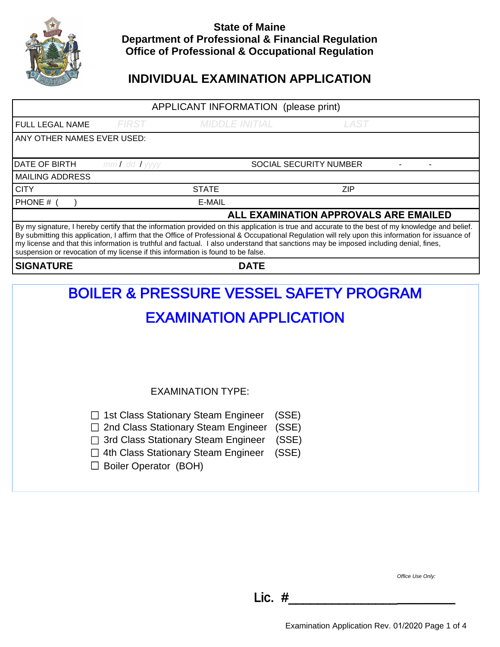

### **State of Maine Department of Professional & Financial Regulation Office of Professional & Occupational Regulation**

## **INDIVIDUAL EXAMINATION APPLICATION**

## APPLICANT INFORMATION (please print) FULL LEGAL NAME FIRST MIDDLE INITIAL LAST ANY OTHER NAMES EVER USED: MAILING ADDRESS CITY STATE ZIP PHONE # ( ) E-MAIL By my signature, I hereby certify that the information provided on this application is true and accurate to the best of my knowledge and belief. By submitting this application, I affirm that the Office of Professional & Occupational Regulation will rely upon this information for issuance of my license and that this information is truthful and factual. I also understand that sanctions may be imposed including denial, fines, suspension or revocation of my license if this information is found to be false. **SIGNATURE DATE**  DATE OF BIRTH mm / dd / yyyy straeth are social security number **ALL EXAMINATION APPROVALS ARE EMAILED**

# BOILER & PRESSURE VESSEL SAFETY PROGRAM EXAMINATION APPLICATION EXAMINATION TYPE:  $\Box$  1st Class Stationary Steam Engineer (SSE) □ 2nd Class Stationary Steam Engineer (SSE) □ 3rd Class Stationary Steam Engineer (SSE)  $\Box$  4th Class Stationary Steam Engineer (SSE)  $\Box$  Boiler Operator (BOH)

Office Use Only:

Lic. #\_\_\_\_\_\_\_\_\_\_\_\_\_\_\_**\_\_\_\_\_\_\_\_**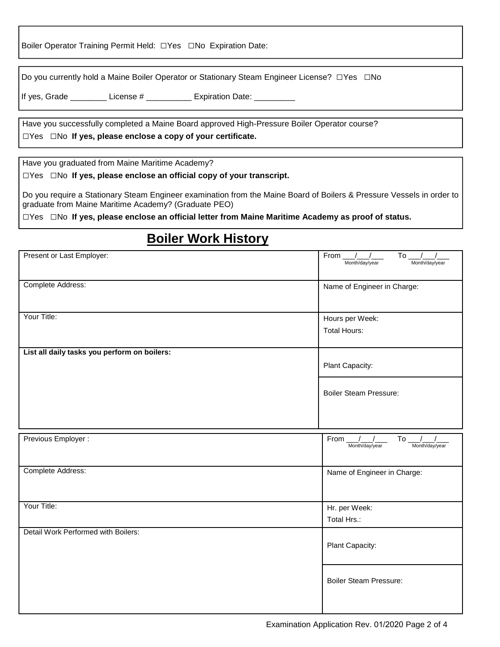Boiler Operator Training Permit Held: □Yes □No Expiration Date:

Do you currently hold a Maine Boiler Operator or Stationary Steam Engineer License? □Yes □No

If yes, Grade \_\_\_\_\_\_\_\_\_ License # \_\_\_\_\_\_\_\_\_\_ Expiration Date: \_\_\_\_\_\_\_\_\_

Have you successfully completed a Maine Board approved High-Pressure Boiler Operator course? □Yes □No **If yes, please enclose a copy of your certificate.**

Have you graduated from Maine Maritime Academy?

□Yes □No **If yes, please enclose an official copy of your transcript.**

Do you require a Stationary Steam Engineer examination from the Maine Board of Boilers & Pressure Vessels in order to graduate from Maine Maritime Academy? (Graduate PEO)

□Yes □No **If yes, please enclose an official letter from Maine Maritime Academy as proof of status.**

# **Boiler Work History**

| Present or Last Employer:                    | From $\frac{1}{2}$<br>To $\frac{1}{1}$<br>Month/day/year<br>Month/day/year |
|----------------------------------------------|----------------------------------------------------------------------------|
| Complete Address:                            | Name of Engineer in Charge:                                                |
| Your Title:                                  | Hours per Week:<br><b>Total Hours:</b>                                     |
| List all daily tasks you perform on boilers: | Plant Capacity:                                                            |
|                                              | <b>Boiler Steam Pressure:</b>                                              |
|                                              |                                                                            |
| Previous Employer :                          | To $\frac{1}{2}$<br>From $1/$<br>Month/day/year<br>Month/day/year          |
| Complete Address:                            | Name of Engineer in Charge:                                                |
| Your Title:                                  | Hr. per Week:<br>Total Hrs.:                                               |
| Detail Work Performed with Boilers:          | Plant Capacity:                                                            |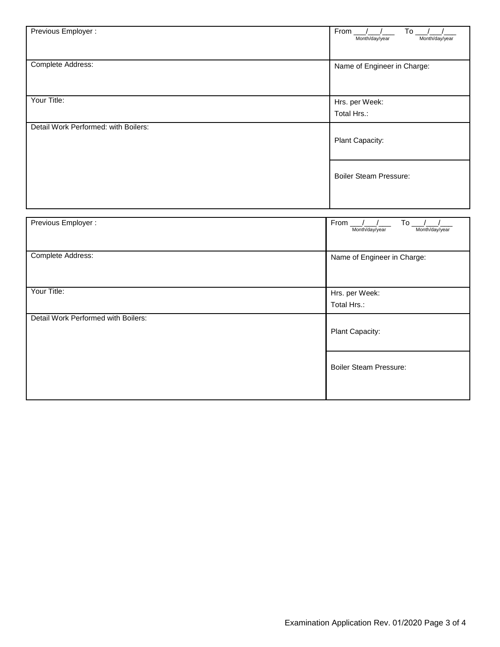| Previous Employer :                  | From<br>To<br>Month/day/year<br>Month/day/year               |
|--------------------------------------|--------------------------------------------------------------|
| Complete Address:                    | Name of Engineer in Charge:                                  |
| Your Title:                          | Hrs. per Week:                                               |
|                                      | Total Hrs.:                                                  |
| Detail Work Performed: with Boilers: | Plant Capacity:                                              |
|                                      | <b>Boiler Steam Pressure:</b>                                |
|                                      |                                                              |
| Previous Employer :                  | To $_{-}$<br>$From \_\_$<br>Month/day/year<br>Month/day/year |
| Complete Address:                    | Name of Engineer in Charge:                                  |

Your Title: Hrs. per Week:

Detail Work Performed with Boilers:

Total Hrs.:

Plant Capacity:

Boiler Steam Pressure: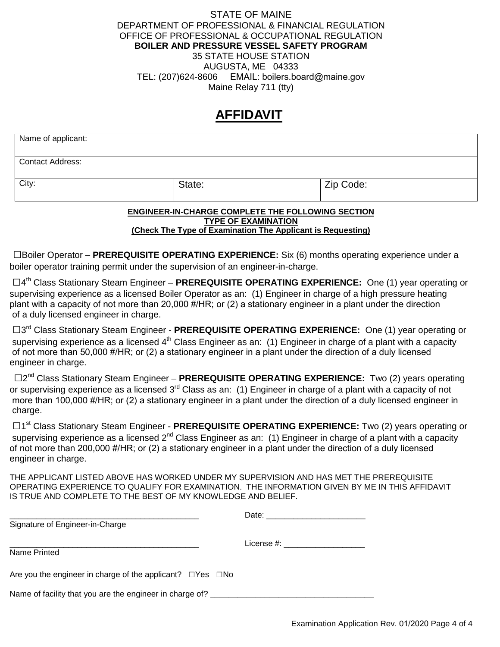#### STATE OF MAINE DEPARTMENT OF PROFESSIONAL & FINANCIAL REGULATION OFFICE OF PROFESSIONAL & OCCUPATIONAL REGULATION **BOILER AND PRESSURE VESSEL SAFETY PROGRAM**  35 STATE HOUSE STATION AUGUSTA, ME 04333 TEL: (207)624-8606 EMAIL: boilers.board@maine.gov Maine Relay 711 (tty)

## **AFFIDAVIT**

| Name of applicant:      |        |           |
|-------------------------|--------|-----------|
| <b>Contact Address:</b> |        |           |
| City:                   | State: | Zip Code: |

#### **ENGINEER-IN-CHARGE COMPLETE THE FOLLOWING SECTION TYPE OF EXAMINATION (Check The Type of Examination The Applicant is Requesting)**

□Boiler Operator – **PREREQUISITE OPERATING EXPERIENCE:** Six (6) months operating experience under a boiler operator training permit under the supervision of an engineer-in-charge.

□4 th Class Stationary Steam Engineer – **PREREQUISITE OPERATING EXPERIENCE:** One (1) year operating or supervising experience as a licensed Boiler Operator as an: (1) Engineer in charge of a high pressure heating plant with a capacity of not more than 20,000 #/HR; or (2) a stationary engineer in a plant under the direction of a duly licensed engineer in charge.

□3<sup>rd</sup> Class Stationary Steam Engineer - PREREQUISITE OPERATING EXPERIENCE: One (1) year operating or supervising experience as a licensed 4<sup>th</sup> Class Engineer as an: (1) Engineer in charge of a plant with a capacity of not more than 50,000 #/HR; or (2) a stationary engineer in a plant under the direction of a duly licensed engineer in charge.

□2<sup>nd</sup> Class Stationary Steam Engineer - PREREQUISITE OPERATING EXPERIENCE: Two (2) years operating or supervising experience as a licensed 3<sup>rd</sup> Class as an: (1) Engineer in charge of a plant with a capacity of not more than 100,000 #/HR; or (2) a stationary engineer in a plant under the direction of a duly licensed engineer in charge.

□1<sup>st</sup> Class Stationary Steam Engineer - PREREQUISITE OPERATING EXPERIENCE: Two (2) years operating or supervising experience as a licensed  $2^{nd}$  Class Engineer as an: (1) Engineer in charge of a plant with a capacity of not more than 200,000 #/HR; or (2) a stationary engineer in a plant under the direction of a duly licensed engineer in charge.

THE APPLICANT LISTED ABOVE HAS WORKED UNDER MY SUPERVISION AND HAS MET THE PREREQUISITE OPERATING EXPERIENCE TO QUALIFY FOR EXAMINATION. THE INFORMATION GIVEN BY ME IN THIS AFFIDAVIT IS TRUE AND COMPLETE TO THE BEST OF MY KNOWLEDGE AND BELIEF.

|                                                                       | Date: the contract of the contract of the contract of the contract of the contract of the contract of the contract of the contract of the contract of the contract of the contract of the contract of the contract of the cont |
|-----------------------------------------------------------------------|--------------------------------------------------------------------------------------------------------------------------------------------------------------------------------------------------------------------------------|
| Signature of Engineer-in-Charge                                       |                                                                                                                                                                                                                                |
|                                                                       | License #:                                                                                                                                                                                                                     |
| Name Printed                                                          |                                                                                                                                                                                                                                |
| Are you the engineer in charge of the applicant? $\Box$ Yes $\Box$ No |                                                                                                                                                                                                                                |
| Name of facility that you are the engineer in charge of?              |                                                                                                                                                                                                                                |